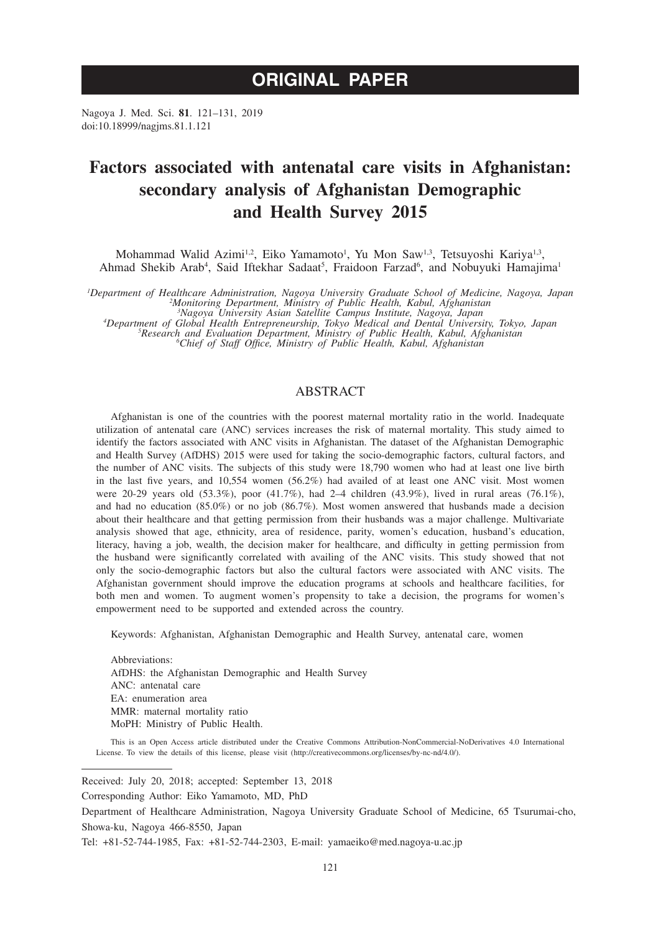# **ORIGINAL PAPER**

Nagoya J. Med. Sci. **81**. 121–131, 2019 doi:10.18999/nagjms.81.1.121

# **Factors associated with antenatal care visits in Afghanistan: secondary analysis of Afghanistan Demographic and Health Survey 2015**

Mohammad Walid Azimi<sup>1,2</sup>, Eiko Yamamoto<sup>1</sup>, Yu Mon Saw<sup>1,3</sup>, Tetsuyoshi Kariya<sup>1,3</sup>, Ahmad Shekib Arab<sup>4</sup>, Said Iftekhar Sadaat<sup>5</sup>, Fraidoon Farzad<sup>6</sup>, and Nobuyuki Hamajima<sup>1</sup>

*1 Department of Healthcare Administration, Nagoya University Graduate School of Medicine, Nagoya, Japan <sup>2</sup> Monitoring Department, Ministry of Public Health, Kabul, Afghanistan*

<sup>3</sup>Nagoya University Asian Satellite Campus Institute, Nagoya, Japan<br>Apepartment of Global Health Entrepreneurship, Tokyo Medical and Dental University, Tokyo, Japan<sup>4</sup><br><sup>5</sup>Research and Evaluation Department, Ministry of Pu

# ABSTRACT

Afghanistan is one of the countries with the poorest maternal mortality ratio in the world. Inadequate utilization of antenatal care (ANC) services increases the risk of maternal mortality. This study aimed to identify the factors associated with ANC visits in Afghanistan. The dataset of the Afghanistan Demographic and Health Survey (AfDHS) 2015 were used for taking the socio-demographic factors, cultural factors, and the number of ANC visits. The subjects of this study were 18,790 women who had at least one live birth in the last five years, and 10,554 women (56.2%) had availed of at least one ANC visit. Most women were 20-29 years old (53.3%), poor (41.7%), had 2–4 children (43.9%), lived in rural areas (76.1%), and had no education (85.0%) or no job (86.7%). Most women answered that husbands made a decision about their healthcare and that getting permission from their husbands was a major challenge. Multivariate analysis showed that age, ethnicity, area of residence, parity, women's education, husband's education, literacy, having a job, wealth, the decision maker for healthcare, and difficulty in getting permission from the husband were significantly correlated with availing of the ANC visits. This study showed that not only the socio-demographic factors but also the cultural factors were associated with ANC visits. The Afghanistan government should improve the education programs at schools and healthcare facilities, for both men and women. To augment women's propensity to take a decision, the programs for women's empowerment need to be supported and extended across the country.

Keywords: Afghanistan, Afghanistan Demographic and Health Survey, antenatal care, women

Abbreviations: AfDHS: the Afghanistan Demographic and Health Survey ANC: antenatal care EA: enumeration area MMR: maternal mortality ratio MoPH: Ministry of Public Health.

This is an Open Access article distributed under the Creative Commons Attribution-NonCommercial-NoDerivatives 4.0 International License. To view the details of this license, please visit (http://creativecommons.org/licenses/by-nc-nd/4.0/).

Received: July 20, 2018; accepted: September 13, 2018

Corresponding Author: Eiko Yamamoto, MD, PhD

Department of Healthcare Administration, Nagoya University Graduate School of Medicine, 65 Tsurumai-cho, Showa-ku, Nagoya 466-8550, Japan

Tel: +81-52-744-1985, Fax: +81-52-744-2303, E-mail: yamaeiko@med.nagoya-u.ac.jp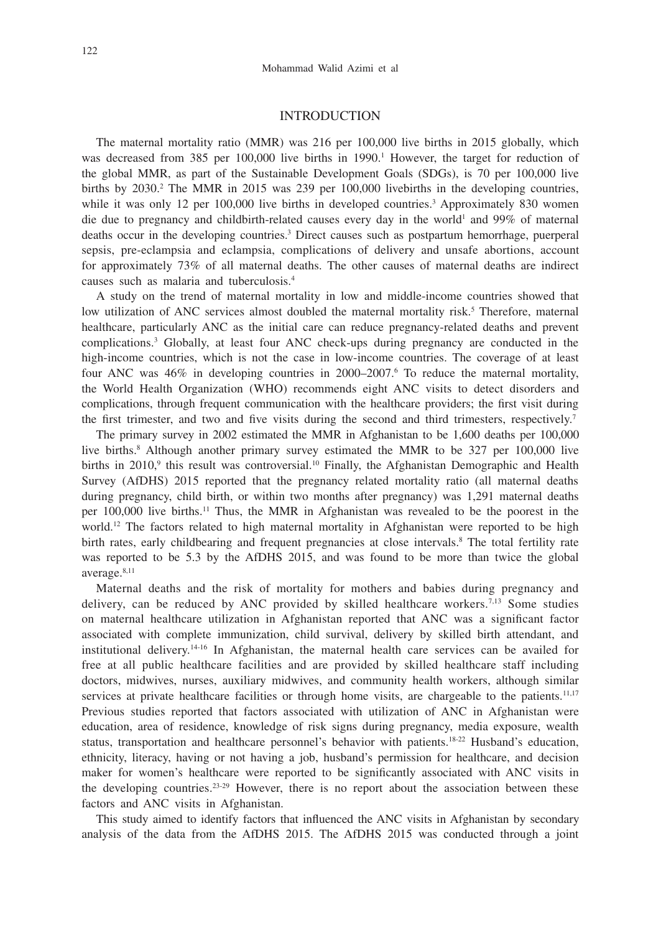### INTRODUCTION

The maternal mortality ratio (MMR) was 216 per 100,000 live births in 2015 globally, which was decreased from 385 per 100,000 live births in 1990.<sup>1</sup> However, the target for reduction of the global MMR, as part of the Sustainable Development Goals (SDGs), is 70 per 100,000 live births by 2030.<sup>2</sup> The MMR in 2015 was 239 per 100,000 livebirths in the developing countries, while it was only 12 per 100,000 live births in developed countries.<sup>3</sup> Approximately 830 women die due to pregnancy and childbirth-related causes every day in the world<sup>1</sup> and 99% of maternal deaths occur in the developing countries.3 Direct causes such as postpartum hemorrhage, puerperal sepsis, pre-eclampsia and eclampsia, complications of delivery and unsafe abortions, account for approximately 73% of all maternal deaths. The other causes of maternal deaths are indirect causes such as malaria and tuberculosis.4

A study on the trend of maternal mortality in low and middle-income countries showed that low utilization of ANC services almost doubled the maternal mortality risk.<sup>5</sup> Therefore, maternal healthcare, particularly ANC as the initial care can reduce pregnancy-related deaths and prevent complications.3 Globally, at least four ANC check-ups during pregnancy are conducted in the high-income countries, which is not the case in low-income countries. The coverage of at least four ANC was 46% in developing countries in 2000–2007.<sup>6</sup> To reduce the maternal mortality, the World Health Organization (WHO) recommends eight ANC visits to detect disorders and complications, through frequent communication with the healthcare providers; the first visit during the first trimester, and two and five visits during the second and third trimesters, respectively.<sup>7</sup>

The primary survey in 2002 estimated the MMR in Afghanistan to be 1,600 deaths per 100,000 live births.<sup>8</sup> Although another primary survey estimated the MMR to be 327 per 100,000 live births in 2010,<sup>9</sup> this result was controversial.<sup>10</sup> Finally, the Afghanistan Demographic and Health Survey (AfDHS) 2015 reported that the pregnancy related mortality ratio (all maternal deaths during pregnancy, child birth, or within two months after pregnancy) was 1,291 maternal deaths per 100,000 live births.11 Thus, the MMR in Afghanistan was revealed to be the poorest in the world.<sup>12</sup> The factors related to high maternal mortality in Afghanistan were reported to be high birth rates, early childbearing and frequent pregnancies at close intervals.<sup>8</sup> The total fertility rate was reported to be 5.3 by the AfDHS 2015, and was found to be more than twice the global average.8,11

Maternal deaths and the risk of mortality for mothers and babies during pregnancy and delivery, can be reduced by ANC provided by skilled healthcare workers.<sup>7,13</sup> Some studies on maternal healthcare utilization in Afghanistan reported that ANC was a significant factor associated with complete immunization, child survival, delivery by skilled birth attendant, and institutional delivery.14-16 In Afghanistan, the maternal health care services can be availed for free at all public healthcare facilities and are provided by skilled healthcare staff including doctors, midwives, nurses, auxiliary midwives, and community health workers, although similar services at private healthcare facilities or through home visits, are chargeable to the patients.<sup>11,17</sup> Previous studies reported that factors associated with utilization of ANC in Afghanistan were education, area of residence, knowledge of risk signs during pregnancy, media exposure, wealth status, transportation and healthcare personnel's behavior with patients.18-22 Husband's education, ethnicity, literacy, having or not having a job, husband's permission for healthcare, and decision maker for women's healthcare were reported to be significantly associated with ANC visits in the developing countries.<sup>23-29</sup> However, there is no report about the association between these factors and ANC visits in Afghanistan.

This study aimed to identify factors that influenced the ANC visits in Afghanistan by secondary analysis of the data from the AfDHS 2015. The AfDHS 2015 was conducted through a joint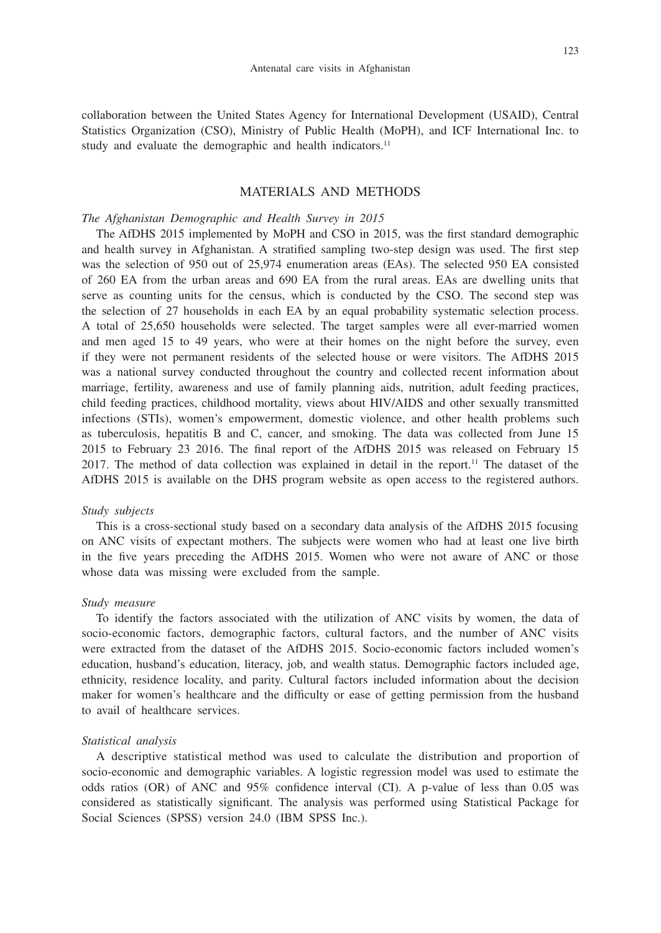collaboration between the United States Agency for International Development (USAID), Central Statistics Organization (CSO), Ministry of Public Health (MoPH), and ICF International Inc. to study and evaluate the demographic and health indicators.<sup>11</sup>

## MATERIALS AND METHODS

#### *The Afghanistan Demographic and Health Survey in 2015*

The AfDHS 2015 implemented by MoPH and CSO in 2015, was the first standard demographic and health survey in Afghanistan. A stratified sampling two-step design was used. The first step was the selection of 950 out of 25,974 enumeration areas (EAs). The selected 950 EA consisted of 260 EA from the urban areas and 690 EA from the rural areas. EAs are dwelling units that serve as counting units for the census, which is conducted by the CSO. The second step was the selection of 27 households in each EA by an equal probability systematic selection process. A total of 25,650 households were selected. The target samples were all ever-married women and men aged 15 to 49 years, who were at their homes on the night before the survey, even if they were not permanent residents of the selected house or were visitors. The AfDHS 2015 was a national survey conducted throughout the country and collected recent information about marriage, fertility, awareness and use of family planning aids, nutrition, adult feeding practices, child feeding practices, childhood mortality, views about HIV/AIDS and other sexually transmitted infections (STIs), women's empowerment, domestic violence, and other health problems such as tuberculosis, hepatitis B and C, cancer, and smoking. The data was collected from June 15 2015 to February 23 2016. The final report of the AfDHS 2015 was released on February 15 2017. The method of data collection was explained in detail in the report.<sup>11</sup> The dataset of the AfDHS 2015 is available on the DHS program website as open access to the registered authors.

#### *Study subjects*

This is a cross-sectional study based on a secondary data analysis of the AfDHS 2015 focusing on ANC visits of expectant mothers. The subjects were women who had at least one live birth in the five years preceding the AfDHS 2015. Women who were not aware of ANC or those whose data was missing were excluded from the sample.

#### *Study measure*

To identify the factors associated with the utilization of ANC visits by women, the data of socio-economic factors, demographic factors, cultural factors, and the number of ANC visits were extracted from the dataset of the AfDHS 2015. Socio-economic factors included women's education, husband's education, literacy, job, and wealth status. Demographic factors included age, ethnicity, residence locality, and parity. Cultural factors included information about the decision maker for women's healthcare and the difficulty or ease of getting permission from the husband to avail of healthcare services.

#### *Statistical analysis*

A descriptive statistical method was used to calculate the distribution and proportion of socio-economic and demographic variables. A logistic regression model was used to estimate the odds ratios (OR) of ANC and 95% confidence interval (CI). A p-value of less than 0.05 was considered as statistically significant. The analysis was performed using Statistical Package for Social Sciences (SPSS) version 24.0 (IBM SPSS Inc.).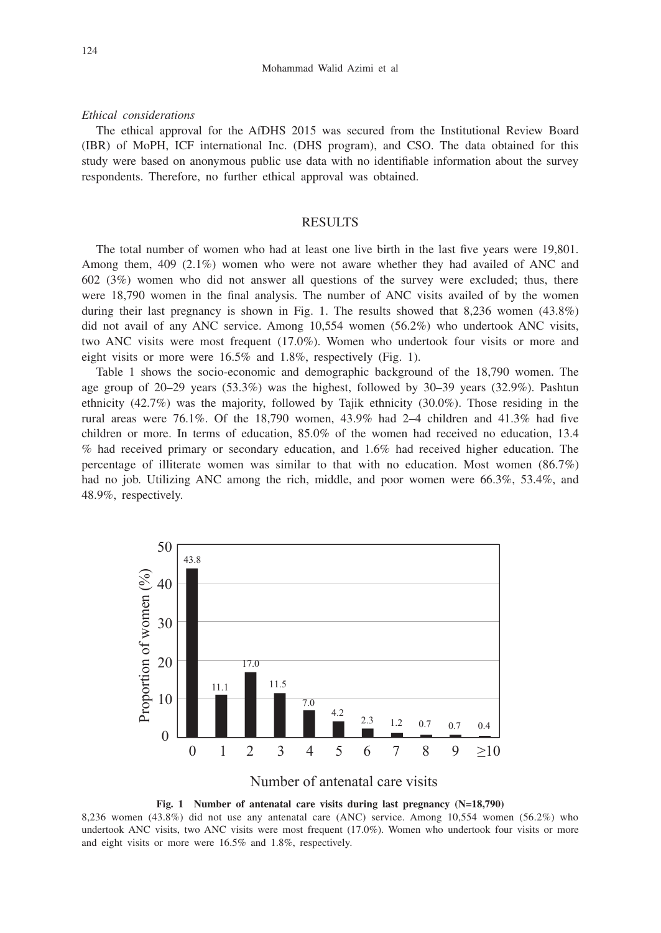#### *Ethical considerations*

The ethical approval for the AfDHS 2015 was secured from the Institutional Review Board (IBR) of MoPH, ICF international Inc. (DHS program), and CSO. The data obtained for this study were based on anonymous public use data with no identifiable information about the survey respondents. Therefore, no further ethical approval was obtained.

## **RESULTS**

The total number of women who had at least one live birth in the last five years were 19,801. Among them, 409 (2.1%) women who were not aware whether they had availed of ANC and 602 (3%) women who did not answer all questions of the survey were excluded; thus, there were 18,790 women in the final analysis. The number of ANC visits availed of by the women during their last pregnancy is shown in Fig. 1. The results showed that 8,236 women (43.8%) did not avail of any ANC service. Among 10,554 women (56.2%) who undertook ANC visits, two ANC visits were most frequent (17.0%). Women who undertook four visits or more and eight visits or more were 16.5% and 1.8%, respectively (Fig. 1).

Table 1 shows the socio-economic and demographic background of the 18,790 women. The age group of  $20-29$  years  $(53.3\%)$  was the highest, followed by  $30-39$  years  $(32.9\%)$ . Pashtun ethnicity (42.7%) was the majority, followed by Tajik ethnicity (30.0%). Those residing in the rural areas were  $76.1\%$ . Of the 18,790 women,  $43.9\%$  had  $2-4$  children and  $41.3\%$  had five children or more. In terms of education, 85.0% of the women had received no education, 13.4 % had received primary or secondary education, and 1.6% had received higher education. The percentage of illiterate women was similar to that with no education. Most women (86.7%) had no job. Utilizing ANC among the rich, middle, and poor women were 66.3%, 53.4%, and 48.9%, respectively.



Number of antenatal care visits



8,236 women (43.8%) did not use any antenatal care (ANC) service. Among 10,554 women (56.2%) who undertook ANC visits, two ANC visits were most frequent (17.0%). Women who undertook four visits or more and eight visits or more were 16.5% and 1.8%, respectively.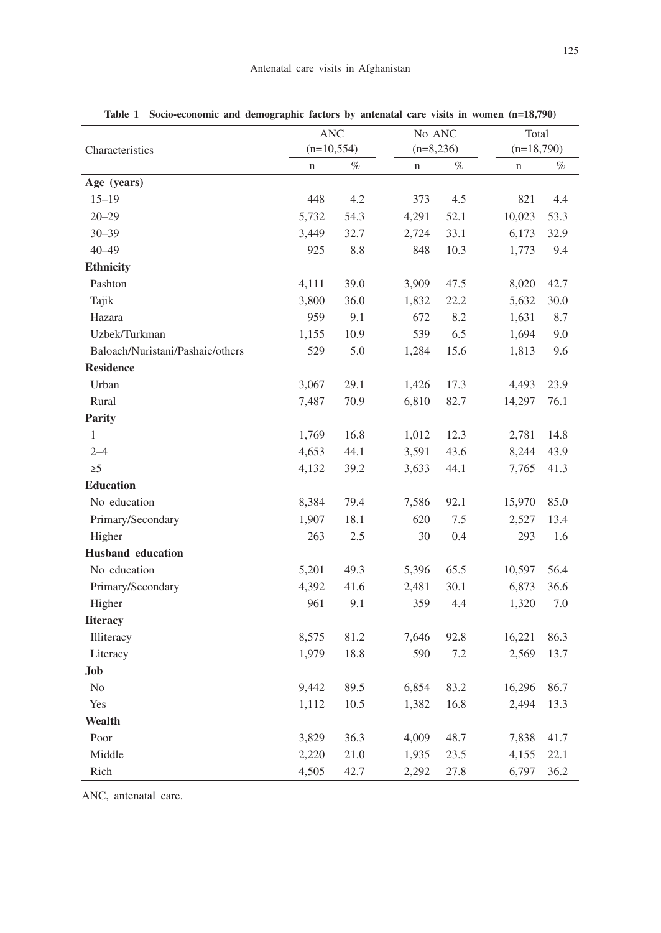|                                  | <b>ANC</b><br>$(n=10, 554)$ |      |  | No ANC<br>$(n=8,236)$ |      | Total<br>$(n=18,790)$ |      |
|----------------------------------|-----------------------------|------|--|-----------------------|------|-----------------------|------|
| Characteristics                  |                             |      |  |                       |      |                       |      |
|                                  | $\mathbf n$                 | $\%$ |  | n                     | $\%$ | $\mathbf n$           | $\%$ |
| Age (years)                      |                             |      |  |                       |      |                       |      |
| $15 - 19$                        | 448                         | 4.2  |  | 373                   | 4.5  | 821                   | 4.4  |
| $20 - 29$                        | 5,732                       | 54.3 |  | 4,291                 | 52.1 | 10,023                | 53.3 |
| $30 - 39$                        | 3,449                       | 32.7 |  | 2,724                 | 33.1 | 6,173                 | 32.9 |
| $40 - 49$                        | 925                         | 8.8  |  | 848                   | 10.3 | 1,773                 | 9.4  |
| <b>Ethnicity</b>                 |                             |      |  |                       |      |                       |      |
| Pashton                          | 4,111                       | 39.0 |  | 3,909                 | 47.5 | 8,020                 | 42.7 |
| Tajik                            | 3,800                       | 36.0 |  | 1,832                 | 22.2 | 5,632                 | 30.0 |
| Hazara                           | 959                         | 9.1  |  | 672                   | 8.2  | 1,631                 | 8.7  |
| Uzbek/Turkman                    | 1,155                       | 10.9 |  | 539                   | 6.5  | 1,694                 | 9.0  |
| Baloach/Nuristani/Pashaie/others | 529                         | 5.0  |  | 1,284                 | 15.6 | 1,813                 | 9.6  |
| <b>Residence</b>                 |                             |      |  |                       |      |                       |      |
| Urban                            | 3,067                       | 29.1 |  | 1,426                 | 17.3 | 4,493                 | 23.9 |
| Rural                            | 7,487                       | 70.9 |  | 6,810                 | 82.7 | 14,297                | 76.1 |
| Parity                           |                             |      |  |                       |      |                       |      |
| $\mathbf{1}$                     | 1,769                       | 16.8 |  | 1,012                 | 12.3 | 2,781                 | 14.8 |
| $2 - 4$                          | 4,653                       | 44.1 |  | 3,591                 | 43.6 | 8,244                 | 43.9 |
| $\geq 5$                         | 4,132                       | 39.2 |  | 3,633                 | 44.1 | 7,765                 | 41.3 |
| <b>Education</b>                 |                             |      |  |                       |      |                       |      |
| No education                     | 8,384                       | 79.4 |  | 7,586                 | 92.1 | 15,970                | 85.0 |
| Primary/Secondary                | 1,907                       | 18.1 |  | 620                   | 7.5  | 2,527                 | 13.4 |
| Higher                           | 263                         | 2.5  |  | 30                    | 0.4  | 293                   | 1.6  |
| <b>Husband</b> education         |                             |      |  |                       |      |                       |      |
| No education                     | 5,201                       | 49.3 |  | 5,396                 | 65.5 | 10,597                | 56.4 |
| Primary/Secondary                | 4,392                       | 41.6 |  | 2,481                 | 30.1 | 6,873                 | 36.6 |
| Higher                           | 961                         | 9.1  |  | 359                   | 4.4  | 1,320                 | 7.0  |
| <b>Iiteracy</b>                  |                             |      |  |                       |      |                       |      |
| Illiteracy                       | 8,575                       | 81.2 |  | 7,646                 | 92.8 | 16,221                | 86.3 |
| Literacy                         | 1,979                       | 18.8 |  | 590                   | 7.2  | 2,569                 | 13.7 |
| Job                              |                             |      |  |                       |      |                       |      |
| N <sub>o</sub>                   | 9,442                       | 89.5 |  | 6,854                 | 83.2 | 16,296                | 86.7 |
| Yes                              | 1,112                       | 10.5 |  | 1,382                 | 16.8 | 2,494                 | 13.3 |
| Wealth                           |                             |      |  |                       |      |                       |      |
| Poor                             | 3,829                       | 36.3 |  | 4,009                 | 48.7 | 7,838                 | 41.7 |
| Middle                           | 2,220                       | 21.0 |  | 1,935                 | 23.5 | 4,155                 | 22.1 |
| Rich                             | 4,505                       | 42.7 |  | 2,292                 | 27.8 | 6,797                 | 36.2 |

**Table 1 Socio-economic and demographic factors by antenatal care visits in women (n=18,790)**

ANC, antenatal care.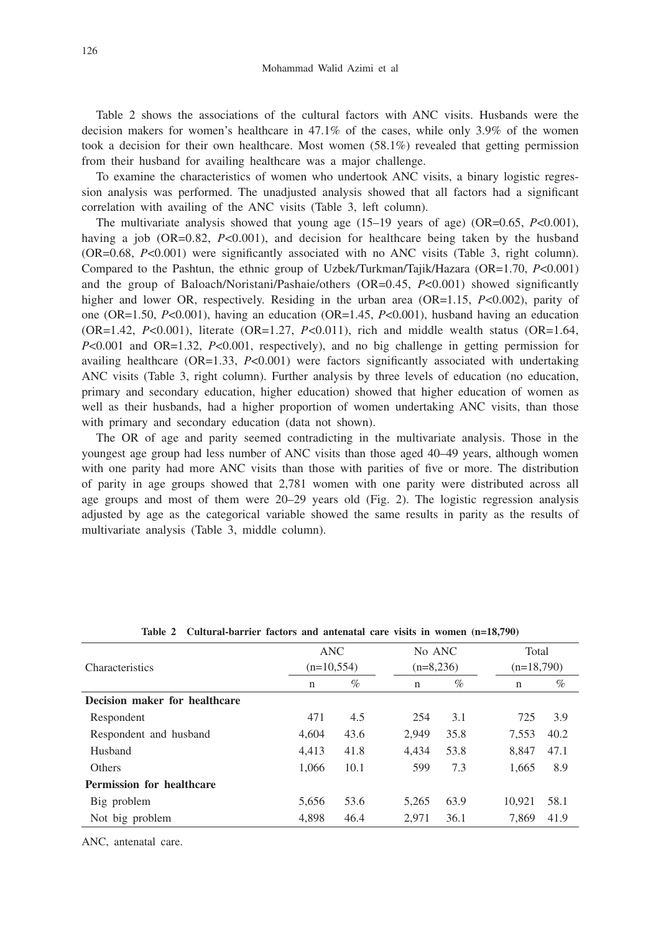Table 2 shows the associations of the cultural factors with ANC visits. Husbands were the decision makers for women's healthcare in 47.1% of the cases, while only 3.9% of the women took a decision for their own healthcare. Most women  $(58.1\%)$  revealed that getting permission from their husband for availing healthcare was a major challenge.

To examine the characteristics of women who undertook ANC visits, a binary logistic regression analysis was performed. The unadjusted analysis showed that all factors had a significant correlation with availing of the ANC visits (Table 3, left column).

The multivariate analysis showed that young age (15–19 years of age) (OR=0.65, *P*<0.001), having a job (OR=0.82, *P*<0.001), and decision for healthcare being taken by the husband (OR=0.68, *P*<0.001) were significantly associated with no ANC visits (Table 3, right column). Compared to the Pashtun, the ethnic group of Uzbek/Turkman/Tajik/Hazara (OR=1.70, *P*<0.001) and the group of Baloach/Noristani/Pashaie/others (OR=0.45, *P*<0.001) showed significantly higher and lower OR, respectively. Residing in the urban area (OR=1.15, *P*<0.002), parity of one (OR=1.50, *P*<0.001), having an education (OR=1.45, *P*<0.001), husband having an education  $(OR=1.42, P<0.001)$ , literate  $(OR=1.27, P<0.011)$ , rich and middle wealth status  $(OR=1.64, P<0.011)$ *P*<0.001 and OR=1.32, *P*<0.001, respectively), and no big challenge in getting permission for availing healthcare (OR=1.33, *P*<0.001) were factors significantly associated with undertaking ANC visits (Table 3, right column). Further analysis by three levels of education (no education, primary and secondary education, higher education) showed that higher education of women as well as their husbands, had a higher proportion of women undertaking ANC visits, than those with primary and secondary education (data not shown).

The OR of age and parity seemed contradicting in the multivariate analysis. Those in the youngest age group had less number of ANC visits than those aged 40–49 years, although women with one parity had more ANC visits than those with parities of five or more. The distribution of parity in age groups showed that 2,781 women with one parity were distributed across all age groups and most of them were 20–29 years old (Fig. 2). The logistic regression analysis adjusted by age as the categorical variable showed the same results in parity as the results of multivariate analysis (Table 3, middle column).

| Characteristics                  | <b>ANC</b><br>$(n=10,554)$ |      | No ANC<br>$(n=8,236)$ |      | Total<br>$(n=18,790)$ |      |
|----------------------------------|----------------------------|------|-----------------------|------|-----------------------|------|
|                                  | n                          | $\%$ | $\mathbf n$           | $\%$ | n                     | %    |
| Decision maker for healthcare    |                            |      |                       |      |                       |      |
| Respondent                       | 471                        | 4.5  | 254                   | 3.1  | 725                   | 3.9  |
| Respondent and husband           | 4,604                      | 43.6 | 2.949                 | 35.8 | 7,553                 | 40.2 |
| Husband                          | 4.413                      | 41.8 | 4.434                 | 53.8 | 8.847                 | 47.1 |
| Others                           | 1.066                      | 10.1 | 599                   | 7.3  | 1.665                 | 8.9  |
| <b>Permission for healthcare</b> |                            |      |                       |      |                       |      |
| Big problem                      | 5.656                      | 53.6 | 5.265                 | 63.9 | 10.921                | 58.1 |
| Not big problem                  | 4.898                      | 46.4 | 2,971                 | 36.1 | 7.869                 | 41.9 |

**Table 2 Cultural-barrier factors and antenatal care visits in women (n=18,790)**

ANC, antenatal care.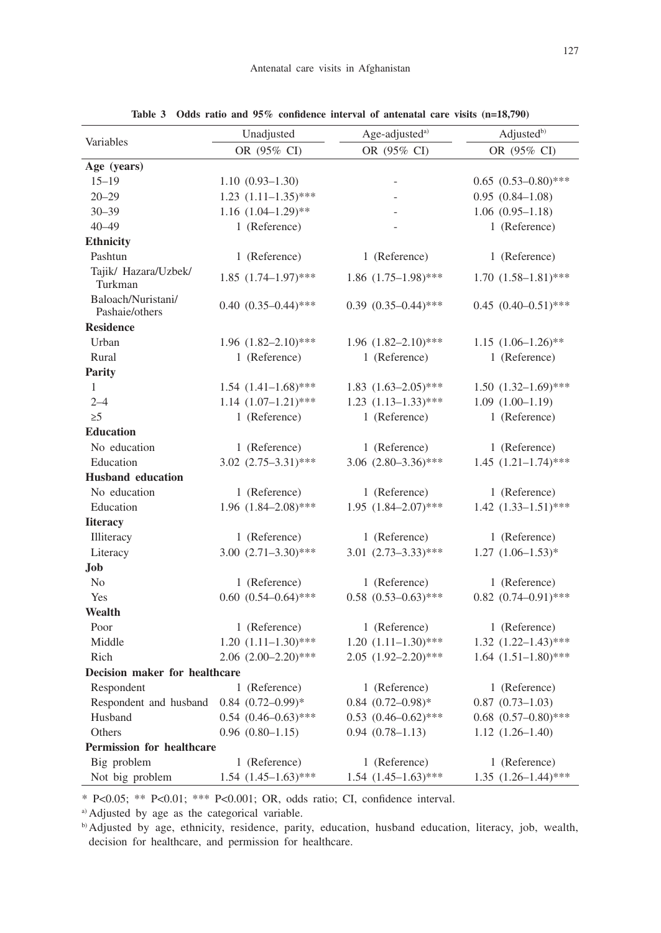|                                      | Unadjusted           |                            | Age-adjusted <sup>a)</sup> |                            | Adjusted <sup>b)</sup> |                            |  |
|--------------------------------------|----------------------|----------------------------|----------------------------|----------------------------|------------------------|----------------------------|--|
| Variables                            | OR (95% CI)          |                            |                            | OR (95% CI)                | OR (95% CI)            |                            |  |
| Age (years)                          |                      |                            |                            |                            |                        |                            |  |
| $15 - 19$                            | $1.10(0.93 - 1.30)$  |                            |                            | $\overline{a}$             |                        | $0.65$ $(0.53-0.80)$ ***   |  |
| $20 - 29$                            |                      | $1.23$ $(1.11-1.35)$ ***   |                            | $\overline{a}$             |                        | $0.95(0.84 - 1.08)$        |  |
| $30 - 39$                            |                      | $1.16$ $(1.04-1.29)*$      |                            |                            |                        | $1.06(0.95-1.18)$          |  |
| $40 - 49$                            |                      | 1 (Reference)              |                            | $\overline{a}$             |                        | 1 (Reference)              |  |
| <b>Ethnicity</b>                     |                      |                            |                            |                            |                        |                            |  |
| Pashtun                              |                      | 1 (Reference)              |                            | 1 (Reference)              |                        | 1 (Reference)              |  |
| Tajik/ Hazara/Uzbek/<br>Turkman      |                      | $1.85$ $(1.74 - 1.97)$ *** |                            | $1.86$ $(1.75-1.98)$ ***   |                        | $1.70(1.58-1.81)$ ***      |  |
| Baloach/Nuristani/<br>Pashaie/others |                      | $0.40(0.35-0.44)$ ***      |                            | $0.39$ $(0.35-0.44)$ ***   |                        | $0.45$ $(0.40-0.51)$ ***   |  |
| <b>Residence</b>                     |                      |                            |                            |                            |                        |                            |  |
| Urban                                |                      | $1.96$ $(1.82 - 2.10)$ *** |                            | $1.96$ $(1.82 - 2.10)$ *** |                        | $1.15$ $(1.06-1.26)$ **    |  |
| Rural                                |                      | 1 (Reference)              |                            | 1 (Reference)              |                        | 1 (Reference)              |  |
| <b>Parity</b>                        |                      |                            |                            |                            |                        |                            |  |
| $\mathbf{1}$                         |                      | $1.54$ $(1.41-1.68)$ ***   |                            | $1.83$ $(1.63 - 2.05)$ *** |                        | $1.50(1.32-1.69)$ ***      |  |
| $2 - 4$                              |                      | $1.14$ $(1.07-1.21)$ ***   |                            | $1.23$ $(1.13-1.33)$ ***   |                        | $1.09(1.00-1.19)$          |  |
| $\geq$ 5                             |                      | 1 (Reference)              |                            | 1 (Reference)              |                        | 1 (Reference)              |  |
| <b>Education</b>                     |                      |                            |                            |                            |                        |                            |  |
| No education                         |                      | 1 (Reference)              |                            | 1 (Reference)              |                        | 1 (Reference)              |  |
| Education                            |                      | $3.02$ $(2.75-3.31)$ ***   |                            | 3.06 $(2.80-3.36)$ ***     |                        | $1.45$ $(1.21-1.74)$ ***   |  |
| <b>Husband</b> education             |                      |                            |                            |                            |                        |                            |  |
| No education                         |                      | 1 (Reference)              |                            | 1 (Reference)              |                        | 1 (Reference)              |  |
| Education                            |                      | $1.96$ $(1.84 - 2.08)$ *** |                            | $1.95$ $(1.84 - 2.07)$ *** |                        | $1.42$ $(1.33-1.51)$ ***   |  |
| <b>Iiteracy</b>                      |                      |                            |                            |                            |                        |                            |  |
| Illiteracy                           |                      | 1 (Reference)              |                            | 1 (Reference)              |                        | 1 (Reference)              |  |
| Literacy                             |                      | $3.00 (2.71 - 3.30)$ ***   |                            | $3.01 (2.73 - 3.33)$ ***   |                        | $1.27$ $(1.06-1.53)*$      |  |
| Job                                  |                      |                            |                            |                            |                        |                            |  |
| N <sub>0</sub>                       |                      | 1 (Reference)              |                            | 1 (Reference)              |                        | 1 (Reference)              |  |
| Yes                                  |                      | $0.60$ $(0.54-0.64)$ ***   |                            | $0.58$ $(0.53-0.63)$ ***   |                        | $0.82$ $(0.74 - 0.91)$ *** |  |
| Wealth                               |                      |                            |                            |                            |                        |                            |  |
| Poor                                 |                      | 1 (Reference)              |                            | 1 (Reference)              |                        | 1 (Reference)              |  |
| Middle                               |                      | $1.20(1.11-1.30)$ ***      |                            | $1.20(1.11-1.30)$ ***      |                        | $1.32 (1.22 - 1.43)$ ***   |  |
| Rich                                 |                      | $2.06$ $(2.00-2.20)$ ***   |                            | $2.05$ $(1.92 - 2.20)$ *** |                        | $1.64$ $(1.51-1.80)$ ***   |  |
| Decision maker for healthcare        |                      |                            |                            |                            |                        |                            |  |
| Respondent                           |                      | 1 (Reference)              |                            | 1 (Reference)              |                        | 1 (Reference)              |  |
| Respondent and husband               |                      | $0.84$ $(0.72 - 0.99)$ *   |                            | $0.84$ $(0.72 - 0.98)$ *   |                        | $0.87$ $(0.73-1.03)$       |  |
| Husband                              |                      | $0.54$ $(0.46-0.63)$ ***   |                            | $0.53$ $(0.46-0.62)$ ***   |                        | $0.68$ $(0.57-0.80)$ ***   |  |
| Others                               | $0.96$ $(0.80-1.15)$ |                            |                            | $0.94(0.78-1.13)$          |                        | $1.12(1.26-1.40)$          |  |
| Permission for healthcare            |                      |                            |                            |                            |                        |                            |  |
| Big problem                          |                      | 1 (Reference)              |                            | 1 (Reference)              |                        | 1 (Reference)              |  |
| Not big problem                      |                      | $1.54$ $(1.45-1.63)$ ***   |                            | $1.54$ $(1.45-1.63)$ ***   |                        | $1.35$ $(1.26-1.44)$ ***   |  |

**Table 3 Odds ratio and 95% confidence interval of antenatal care visits (n=18,790)**

\* P<0.05; \*\* P<0.01; \*\*\* P<0.001; OR, odds ratio; CI, confidence interval.

a) Adjusted by age as the categorical variable.

b) Adjusted by age, ethnicity, residence, parity, education, husband education, literacy, job, wealth, decision for healthcare, and permission for healthcare.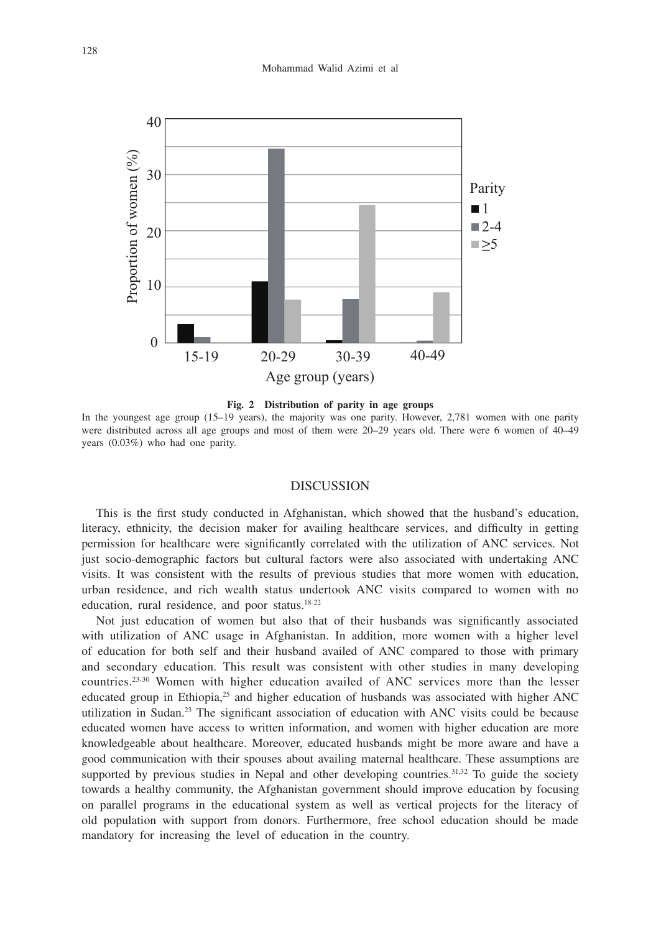

**Fig. 2 Distribution of parity in age groups**

In the youngest age group (15–19 years), the majority was one parity. However, 2,781 women with one parity were distributed across all age groups and most of them were 20–29 years old. There were 6 women of 40–49 years (0.03%) who had one parity.

# DISCUSSION

This is the first study conducted in Afghanistan, which showed that the husband's education, literacy, ethnicity, the decision maker for availing healthcare services, and difficulty in getting permission for healthcare were significantly correlated with the utilization of ANC services. Not just socio-demographic factors but cultural factors were also associated with undertaking ANC visits. It was consistent with the results of previous studies that more women with education, urban residence, and rich wealth status undertook ANC visits compared to women with no education, rural residence, and poor status.18-22

Not just education of women but also that of their husbands was significantly associated with utilization of ANC usage in Afghanistan. In addition, more women with a higher level of education for both self and their husband availed of ANC compared to those with primary and secondary education. This result was consistent with other studies in many developing countries.23-30 Women with higher education availed of ANC services more than the lesser educated group in Ethiopia,<sup>25</sup> and higher education of husbands was associated with higher ANC utilization in Sudan.23 The significant association of education with ANC visits could be because educated women have access to written information, and women with higher education are more knowledgeable about healthcare. Moreover, educated husbands might be more aware and have a good communication with their spouses about availing maternal healthcare. These assumptions are supported by previous studies in Nepal and other developing countries.<sup>31,32</sup> To guide the society towards a healthy community, the Afghanistan government should improve education by focusing on parallel programs in the educational system as well as vertical projects for the literacy of old population with support from donors. Furthermore, free school education should be made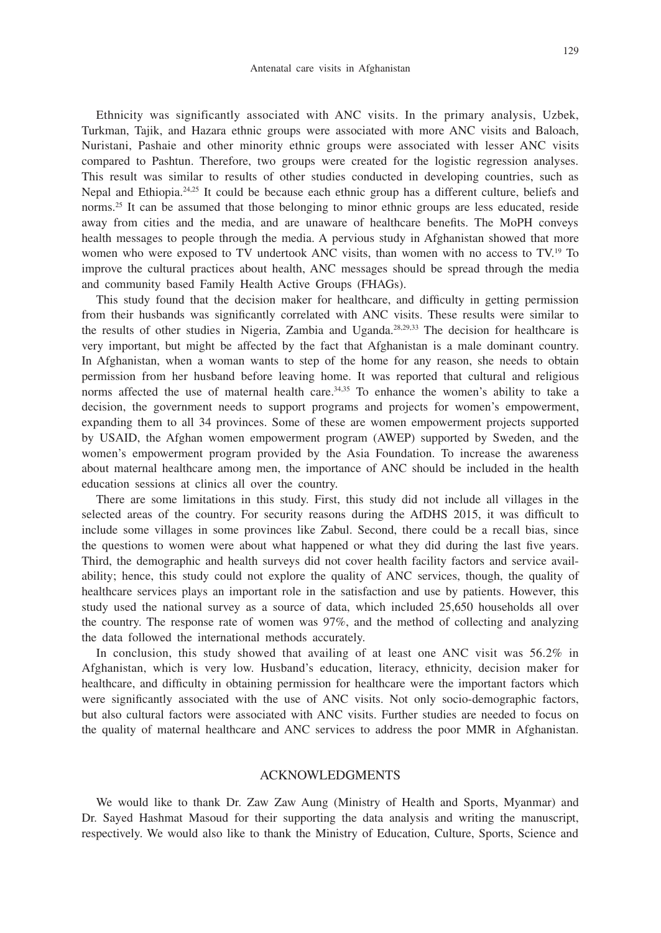Ethnicity was significantly associated with ANC visits. In the primary analysis, Uzbek, Turkman, Tajik, and Hazara ethnic groups were associated with more ANC visits and Baloach, Nuristani, Pashaie and other minority ethnic groups were associated with lesser ANC visits compared to Pashtun. Therefore, two groups were created for the logistic regression analyses. This result was similar to results of other studies conducted in developing countries, such as Nepal and Ethiopia.24,25 It could be because each ethnic group has a different culture, beliefs and norms.25 It can be assumed that those belonging to minor ethnic groups are less educated, reside away from cities and the media, and are unaware of healthcare benefits. The MoPH conveys health messages to people through the media. A pervious study in Afghanistan showed that more women who were exposed to TV undertook ANC visits, than women with no access to TV.19 To improve the cultural practices about health, ANC messages should be spread through the media and community based Family Health Active Groups (FHAGs).

This study found that the decision maker for healthcare, and difficulty in getting permission from their husbands was significantly correlated with ANC visits. These results were similar to the results of other studies in Nigeria, Zambia and Uganda.28,29,33 The decision for healthcare is very important, but might be affected by the fact that Afghanistan is a male dominant country. In Afghanistan, when a woman wants to step of the home for any reason, she needs to obtain permission from her husband before leaving home. It was reported that cultural and religious norms affected the use of maternal health care.<sup>34,35</sup> To enhance the women's ability to take a decision, the government needs to support programs and projects for women's empowerment, expanding them to all 34 provinces. Some of these are women empowerment projects supported by USAID, the Afghan women empowerment program (AWEP) supported by Sweden, and the women's empowerment program provided by the Asia Foundation. To increase the awareness about maternal healthcare among men, the importance of ANC should be included in the health education sessions at clinics all over the country.

There are some limitations in this study. First, this study did not include all villages in the selected areas of the country. For security reasons during the AfDHS 2015, it was difficult to include some villages in some provinces like Zabul. Second, there could be a recall bias, since the questions to women were about what happened or what they did during the last five years. Third, the demographic and health surveys did not cover health facility factors and service availability; hence, this study could not explore the quality of ANC services, though, the quality of healthcare services plays an important role in the satisfaction and use by patients. However, this study used the national survey as a source of data, which included 25,650 households all over the country. The response rate of women was 97%, and the method of collecting and analyzing the data followed the international methods accurately.

In conclusion, this study showed that availing of at least one ANC visit was 56.2% in Afghanistan, which is very low. Husband's education, literacy, ethnicity, decision maker for healthcare, and difficulty in obtaining permission for healthcare were the important factors which were significantly associated with the use of ANC visits. Not only socio-demographic factors, but also cultural factors were associated with ANC visits. Further studies are needed to focus on the quality of maternal healthcare and ANC services to address the poor MMR in Afghanistan.

## ACKNOWLEDGMENTS

We would like to thank Dr. Zaw Zaw Aung (Ministry of Health and Sports, Myanmar) and Dr. Sayed Hashmat Masoud for their supporting the data analysis and writing the manuscript, respectively. We would also like to thank the Ministry of Education, Culture, Sports, Science and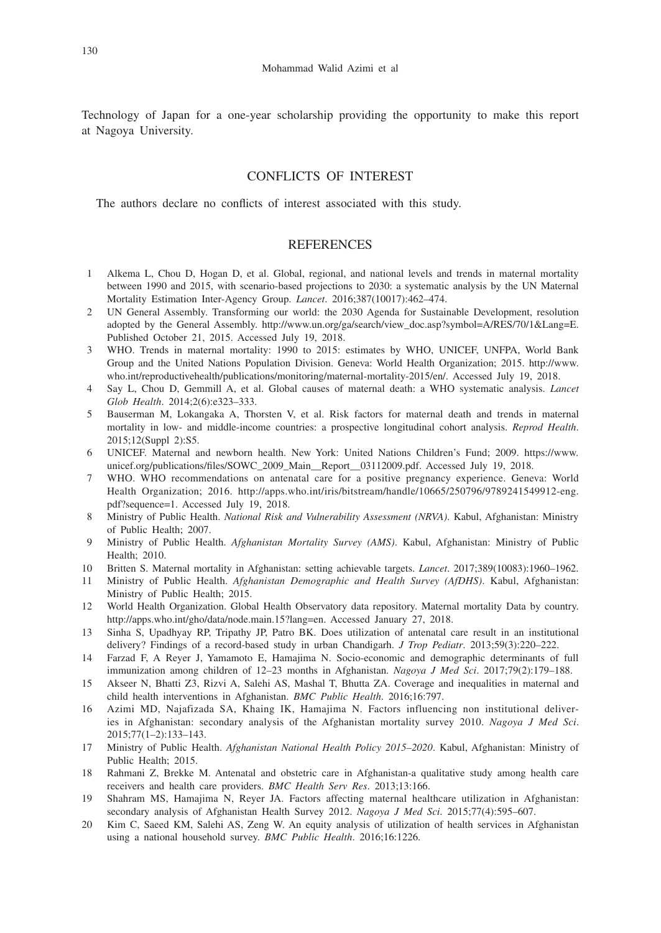Technology of Japan for a one-year scholarship providing the opportunity to make this report at Nagoya University.

## CONFLICTS OF INTEREST

The authors declare no conflicts of interest associated with this study.

### REFERENCES

- 1 Alkema L, Chou D, Hogan D, et al. Global, regional, and national levels and trends in maternal mortality between 1990 and 2015, with scenario-based projections to 2030: a systematic analysis by the UN Maternal Mortality Estimation Inter-Agency Group. *Lancet*. 2016;387(10017):462–474.
- 2 UN General Assembly. Transforming our world: the 2030 Agenda for Sustainable Development, resolution adopted by the General Assembly. http://www.un.org/ga/search/view\_doc.asp?symbol=A/RES/70/1&Lang=E. Published October 21, 2015. Accessed July 19, 2018.
- 3 WHO. Trends in maternal mortality: 1990 to 2015: estimates by WHO, UNICEF, UNFPA, World Bank Group and the United Nations Population Division. Geneva: World Health Organization; 2015. http://www. who.int/reproductivehealth/publications/monitoring/maternal-mortality-2015/en/. Accessed July 19, 2018.
- 4 Say L, Chou D, Gemmill A, et al. Global causes of maternal death: a WHO systematic analysis. *Lancet Glob Health*. 2014;2(6):e323–333.
- 5 Bauserman M, Lokangaka A, Thorsten V, et al. Risk factors for maternal death and trends in maternal mortality in low- and middle-income countries: a prospective longitudinal cohort analysis. *Reprod Health*. 2015;12(Suppl 2):S5.
- 6 UNICEF. Maternal and newborn health. New York: United Nations Children's Fund; 2009. https://www. unicef.org/publications/files/SOWC\_2009\_Main\_\_Report\_\_03112009.pdf. Accessed July 19, 2018.
- 7 WHO. WHO recommendations on antenatal care for a positive pregnancy experience. Geneva: World Health Organization; 2016. http://apps.who.int/iris/bitstream/handle/10665/250796/9789241549912-eng. pdf?sequence=1. Accessed July 19, 2018.
- 8 Ministry of Public Health. *National Risk and Vulnerability Assessment (NRVA)*. Kabul, Afghanistan: Ministry of Public Health; 2007.
- 9 Ministry of Public Health. *Afghanistan Mortality Survey (AMS)*. Kabul, Afghanistan: Ministry of Public Health; 2010.
- 10 Britten S. Maternal mortality in Afghanistan: setting achievable targets. *Lancet*. 2017;389(10083):1960–1962.
- 11 Ministry of Public Health. *Afghanistan Demographic and Health Survey (AfDHS)*. Kabul, Afghanistan: Ministry of Public Health; 2015.
- 12 World Health Organization. Global Health Observatory data repository. Maternal mortality Data by country. http://apps.who.int/gho/data/node.main.15?lang=en. Accessed January 27, 2018.
- 13 Sinha S, Upadhyay RP, Tripathy JP, Patro BK. Does utilization of antenatal care result in an institutional delivery? Findings of a record-based study in urban Chandigarh. *J Trop Pediatr*. 2013;59(3):220–222.
- 14 Farzad F, A Reyer J, Yamamoto E, Hamajima N. Socio-economic and demographic determinants of full immunization among children of 12–23 months in Afghanistan. *Nagoya J Med Sci*. 2017;79(2):179–188.
- 15 Akseer N, Bhatti Z3, Rizvi A, Salehi AS, Mashal T, Bhutta ZA. Coverage and inequalities in maternal and child health interventions in Afghanistan. *BMC Public Health*. 2016;16:797.
- 16 Azimi MD, Najafizada SA, Khaing IK, Hamajima N. Factors influencing non institutional deliveries in Afghanistan: secondary analysis of the Afghanistan mortality survey 2010. *Nagoya J Med Sci*. 2015;77(1–2):133–143.
- 17 Ministry of Public Health. *Afghanistan National Health Policy 2015–2020*. Kabul, Afghanistan: Ministry of Public Health; 2015.
- 18 Rahmani Z, Brekke M. Antenatal and obstetric care in Afghanistan-a qualitative study among health care receivers and health care providers. *BMC Health Serv Res*. 2013;13:166.
- 19 Shahram MS, Hamajima N, Reyer JA. Factors affecting maternal healthcare utilization in Afghanistan: secondary analysis of Afghanistan Health Survey 2012. *Nagoya J Med Sci*. 2015;77(4):595–607.
- 20 Kim C, Saeed KM, Salehi AS, Zeng W. An equity analysis of utilization of health services in Afghanistan using a national household survey. *BMC Public Health*. 2016;16:1226.